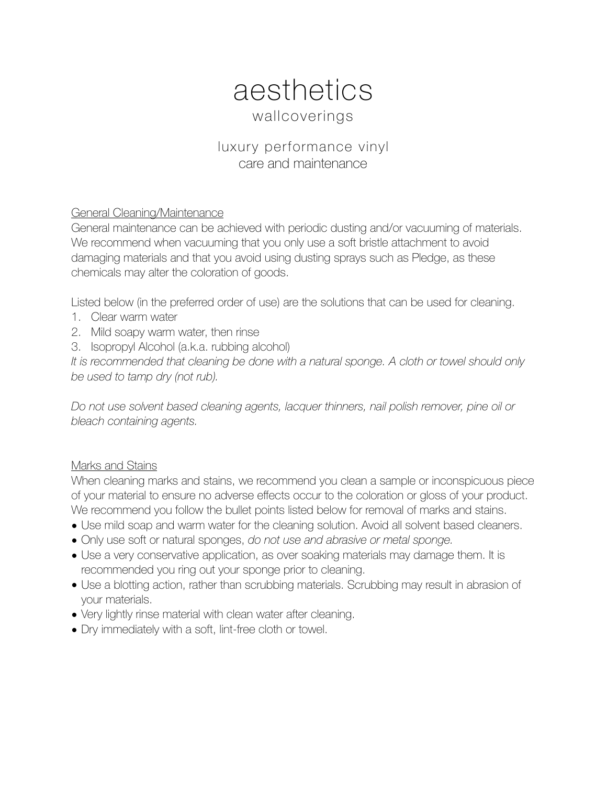## aesthetics wallcoverings

## luxury performance vinyl care and maintenance

## General Cleaning/Maintenance

General maintenance can be achieved with periodic dusting and/or vacuuming of materials. We recommend when vacuuming that you only use a soft bristle attachment to avoid damaging materials and that you avoid using dusting sprays such as Pledge, as these chemicals may alter the coloration of goods.

Listed below (in the preferred order of use) are the solutions that can be used for cleaning.

- 1. Clear warm water
- 2. Mild soapy warm water, then rinse
- 3. Isopropyl Alcohol (a.k.a. rubbing alcohol)

*It is recommended that cleaning be done with a natural sponge. A cloth or towel should only be used to tamp dry (not rub).* 

*Do not use solvent based cleaning agents, lacquer thinners, nail polish remover, pine oil or bleach containing agents.* 

## Marks and Stains

When cleaning marks and stains, we recommend you clean a sample or inconspicuous piece of your material to ensure no adverse effects occur to the coloration or gloss of your product. We recommend you follow the bullet points listed below for removal of marks and stains.

- Use mild soap and warm water for the cleaning solution. Avoid all solvent based cleaners.
- Only use soft or natural sponges, *do not use and abrasive or metal sponge.*
- Use a very conservative application, as over soaking materials may damage them. It is recommended you ring out your sponge prior to cleaning.
- Use a blotting action, rather than scrubbing materials. Scrubbing may result in abrasion of your materials.
- Very lightly rinse material with clean water after cleaning.
- Dry immediately with a soft, lint-free cloth or towel.